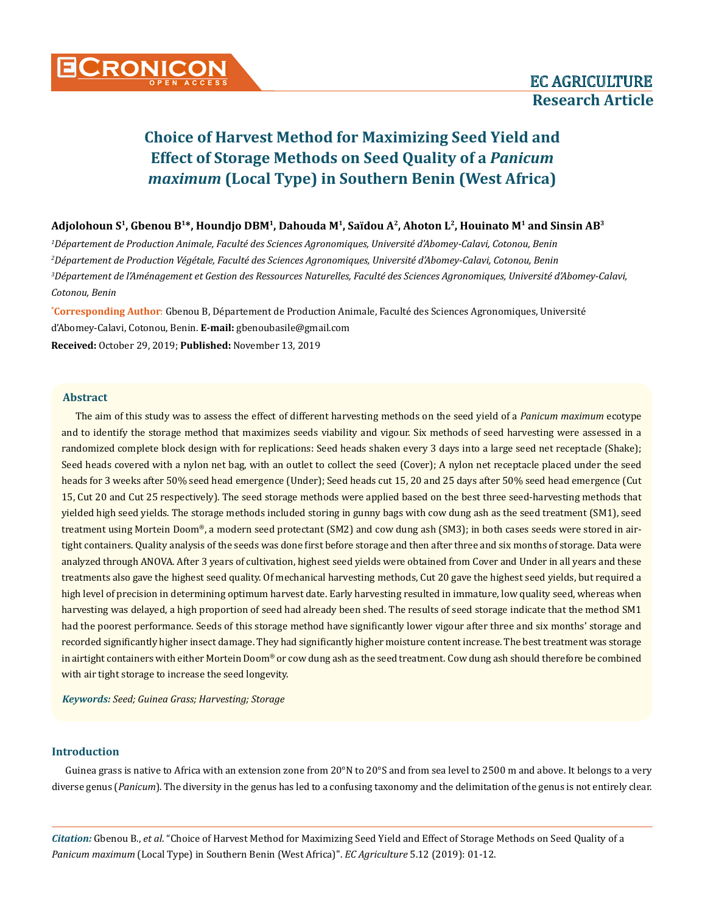# **Adjolohoun S1, Gbenou B1\*, Houndjo DBM1, Dahouda M1, Saïdou A2, Ahoton L2, Houinato M1 and Sinsin AB3**

 *Département de Production Animale, Faculté des Sciences Agronomiques, Université d'Abomey-Calavi, Cotonou, Benin Département de Production Végétale, Faculté des Sciences Agronomiques, Université d'Abomey-Calavi, Cotonou, Benin Département de l'Aménagement et Gestion des Ressources Naturelles, Faculté des Sciences Agronomiques, Université d'Abomey-Calavi, Cotonou, Benin*

**\* Corresponding Author**: Gbenou B, Département de Production Animale, Faculté des Sciences Agronomiques, Université d'Abomey-Calavi, Cotonou, Benin. **E-mail:** [gbenoubasile@gmail.com](mailto:gbenoubasile@gmail.com)

**Received:** October 29, 2019; **Published:** November 13, 2019

# **Abstract**

The aim of this study was to assess the effect of different harvesting methods on the seed yield of a *Panicum maximum* ecotype and to identify the storage method that maximizes seeds viability and vigour. Six methods of seed harvesting were assessed in a randomized complete block design with for replications: Seed heads shaken every 3 days into a large seed net receptacle (Shake); Seed heads covered with a nylon net bag, with an outlet to collect the seed (Cover); A nylon net receptacle placed under the seed heads for 3 weeks after 50% seed head emergence (Under); Seed heads cut 15, 20 and 25 days after 50% seed head emergence (Cut 15, Cut 20 and Cut 25 respectively). The seed storage methods were applied based on the best three seed-harvesting methods that yielded high seed yields. The storage methods included storing in gunny bags with cow dung ash as the seed treatment (SM1), seed treatment using Mortein Doom®, a modern seed protectant (SM2) and cow dung ash (SM3); in both cases seeds were stored in airtight containers. Quality analysis of the seeds was done first before storage and then after three and six months of storage. Data were analyzed through ANOVA. After 3 years of cultivation, highest seed yields were obtained from Cover and Under in all years and these treatments also gave the highest seed quality. Of mechanical harvesting methods, Cut 20 gave the highest seed yields, but required a high level of precision in determining optimum harvest date. Early harvesting resulted in immature, low quality seed, whereas when harvesting was delayed, a high proportion of seed had already been shed. The results of seed storage indicate that the method SM1 had the poorest performance. Seeds of this storage method have significantly lower vigour after three and six months' storage and recorded significantly higher insect damage. They had significantly higher moisture content increase. The best treatment was storage in airtight containers with either Mortein Doom® or cow dung ash as the seed treatment. Cow dung ash should therefore be combined with air tight storage to increase the seed longevity.

*Keywords: Seed; Guinea Grass; Harvesting; Storage*

### **Introduction**

Guinea grass is native to Africa with an extension zone from 20°N to 20°S and from sea level to 2500 m and above. It belongs to a very diverse genus (*Panicum*). The diversity in the genus has led to a confusing taxonomy and the delimitation of the genus is not entirely clear.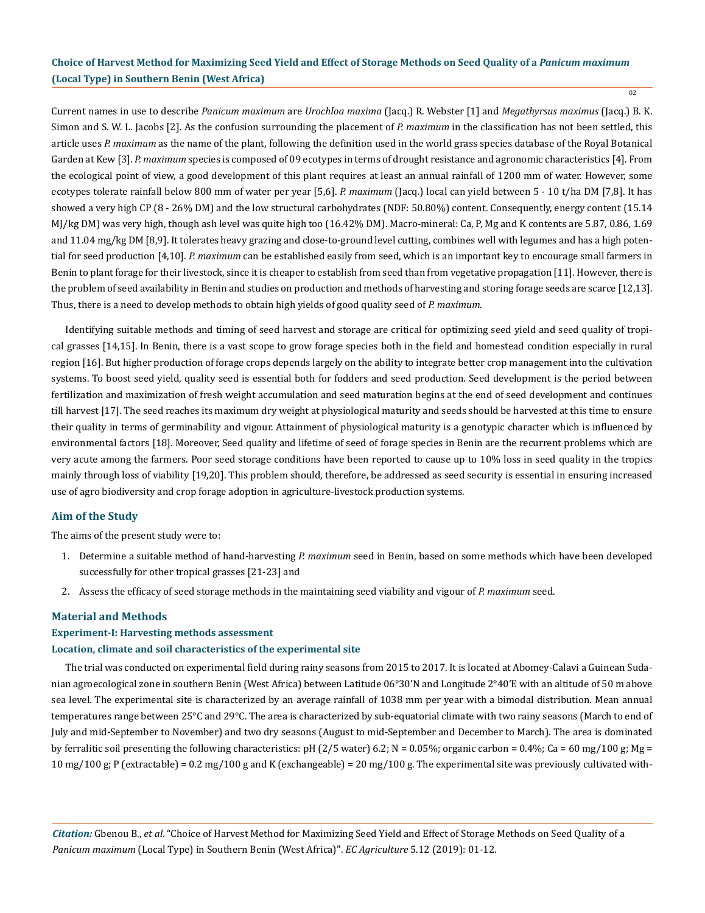02

Current names in use to describe *Panicum maximum* are *Urochloa maxima* (Jacq.) R. Webster [1] and *Megathyrsus maximus* (Jacq.) B. K. Simon and S. W. L. Jacobs [2]. As the confusion surrounding the placement of *P. maximum* in the classification has not been settled, this article uses *P. maximum* as the name of the plant, following the definition used in the world grass species database of the Royal Botanical Garden at Kew [3]. *P. maximum* species is composed of 09 ecotypes in terms of drought resistance and agronomic characteristics [4]. From the ecological point of view, a good development of this plant requires at least an annual rainfall of 1200 mm of water. However, some ecotypes tolerate rainfall below 800 mm of water per year [5,6]. *P. maximum* (Jacq.) local can yield between 5 - 10 t/ha DM [7,8]. It has showed a very high CP (8 - 26% DM) and the low structural carbohydrates (NDF: 50.80%) content. Consequently, energy content (15.14 MJ/kg DM) was very high, though ash level was quite high too (16.42% DM). Macro-mineral: Ca, P, Mg and K contents are 5.87, 0.86, 1.69 and 11.04 mg/kg DM [8,9]. It tolerates heavy grazing and close-to-ground level cutting, combines well with legumes and has a high potential for seed production [4,10]. *P. maximum* can be established easily from seed, which is an important key to encourage small farmers in Benin to plant forage for their livestock, since it is cheaper to establish from seed than from vegetative propagation [11]. However, there is the problem of seed availability in Benin and studies on production and methods of harvesting and storing forage seeds are scarce [12,13]. Thus, there is a need to develop methods to obtain high yields of good quality seed of *P. maximum.*

Identifying suitable methods and timing of seed harvest and storage are critical for optimizing seed yield and seed quality of tropical grasses [14,15]. In Benin, there is a vast scope to grow forage species both in the field and homestead condition especially in rural region [16]. But higher production of forage crops depends largely on the ability to integrate better crop management into the cultivation systems. To boost seed yield, quality seed is essential both for fodders and seed production. Seed development is the period between fertilization and maximization of fresh weight accumulation and seed maturation begins at the end of seed development and continues till harvest [17]. The seed reaches its maximum dry weight at physiological maturity and seeds should be harvested at this time to ensure their quality in terms of germinability and vigour. Attainment of physiological maturity is a genotypic character which is influenced by environmental factors [18]. Moreover, Seed quality and lifetime of seed of forage species in Benin are the recurrent problems which are very acute among the farmers. Poor seed storage conditions have been reported to cause up to 10% loss in seed quality in the tropics mainly through loss of viability [19,20]. This problem should, therefore, be addressed as seed security is essential in ensuring increased use of agro biodiversity and crop forage adoption in agriculture-livestock production systems.

# **Aim of the Study**

The aims of the present study were to:

- 1. Determine a suitable method of hand-harvesting *P. maximum* seed in Benin, based on some methods which have been developed successfully for other tropical grasses [21-23] and
- 2. Assess the efficacy of seed storage methods in the maintaining seed viability and vigour of *P. maximum* seed.

### **Material and Methods**

### **Experiment-I: Harvesting methods assessment**

### **Location, climate and soil characteristics of the experimental site**

The trial was conducted on experimental field during rainy seasons from 2015 to 2017. It is located at Abomey-Calavi a Guinean Sudanian agroecological zone in southern Benin (West Africa) between Latitude 06°30'N and Longitude 2°40'E with an altitude of 50 m above sea level. The experimental site is characterized by an average rainfall of 1038 mm per year with a bimodal distribution. Mean annual temperatures range between 25°C and 29°C. The area is characterized by sub-equatorial climate with two rainy seasons (March to end of July and mid-September to November) and two dry seasons (August to mid-September and December to March). The area is dominated by ferralitic soil presenting the following characteristics: pH (2/5 water) 6.2; N = 0.05%; organic carbon = 0.4%; Ca = 60 mg/100 g; Mg = 10 mg/100 g; P (extractable) = 0.2 mg/100 g and K (exchangeable) = 20 mg/100 g. The experimental site was previously cultivated with-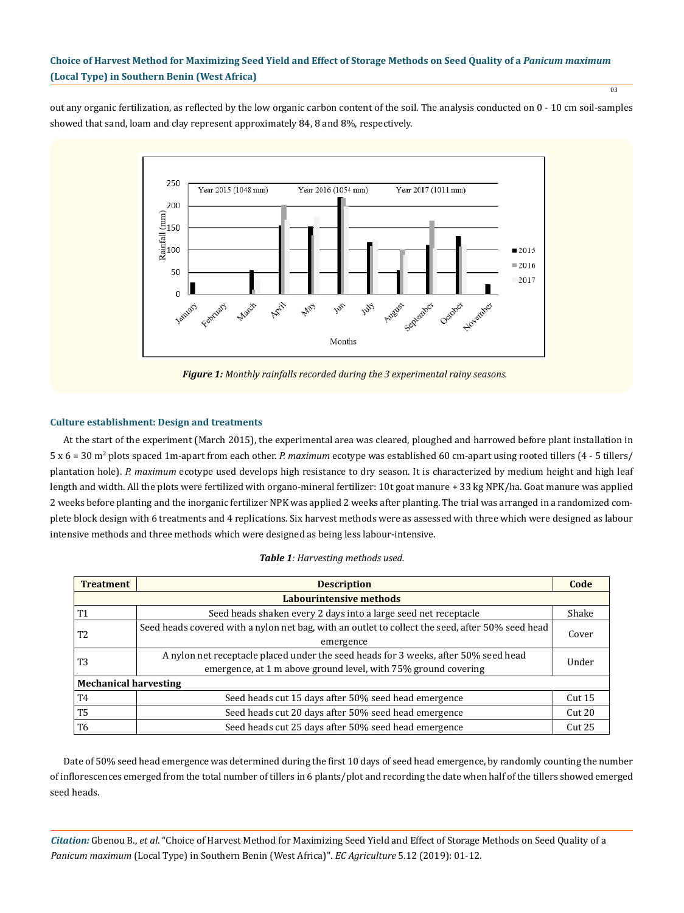out any organic fertilization, as reflected by the low organic carbon content of the soil. The analysis conducted on 0 - 10 cm soil-samples showed that sand, loam and clay represent approximately 84, 8 and 8%, respectively.



*Figure 1: Monthly rainfalls recorded during the 3 experimental rainy seasons.* 

# **Culture establishment: Design and treatments**

At the start of the experiment (March 2015), the experimental area was cleared, ploughed and harrowed before plant installation in 5 x 6 = 30 m<sup>2</sup> plots spaced 1m-apart from each other. *P. maximum* ecotype was established 60 cm-apart using rooted tillers (4 - 5 tillers/ plantation hole). *P. maximum* ecotype used develops high resistance to dry season. It is characterized by medium height and high leaf length and width. All the plots were fertilized with organo-mineral fertilizer: 10t goat manure + 33 kg NPK/ha. Goat manure was applied 2 weeks before planting and the inorganic fertilizer NPK was applied 2 weeks after planting. The trial was arranged in a randomized complete block design with 6 treatments and 4 replications. Six harvest methods were as assessed with three which were designed as labour intensive methods and three methods which were designed as being less labour-intensive.

| <b>Treatment</b>             | <b>Description</b>                                                                               |                   |  |  |  |
|------------------------------|--------------------------------------------------------------------------------------------------|-------------------|--|--|--|
| Labourintensive methods      |                                                                                                  |                   |  |  |  |
| <b>T1</b>                    | Seed heads shaken every 2 days into a large seed net receptacle                                  |                   |  |  |  |
| T <sub>2</sub>               | Seed heads covered with a nylon net bag, with an outlet to collect the seed, after 50% seed head | Cover             |  |  |  |
|                              | emergence                                                                                        |                   |  |  |  |
| T <sub>3</sub>               | A nylon net receptacle placed under the seed heads for 3 weeks, after 50% seed head              |                   |  |  |  |
|                              | emergence, at 1 m above ground level, with 75% ground covering                                   | Under             |  |  |  |
| <b>Mechanical harvesting</b> |                                                                                                  |                   |  |  |  |
| T4                           | Seed heads cut 15 days after 50% seed head emergence                                             | Cut 15            |  |  |  |
| T <sub>5</sub>               | Seed heads cut 20 days after 50% seed head emergence                                             | Cut <sub>20</sub> |  |  |  |
| T6                           | Seed heads cut 25 days after 50% seed head emergence                                             | Cut25             |  |  |  |

|  | <b>Table 1:</b> Harvesting methods used. |  |  |
|--|------------------------------------------|--|--|
|--|------------------------------------------|--|--|

Date of 50% seed head emergence was determined during the first 10 days of seed head emergence, by randomly counting the number of inflorescences emerged from the total number of tillers in 6 plants/plot and recording the date when half of the tillers showed emerged seed heads.

*Citation:* Gbenou B., *et al*. "Choice of Harvest Method for Maximizing Seed Yield and Effect of Storage Methods on Seed Quality of a *Panicum maximum* (Local Type) in Southern Benin (West Africa)". *EC Agriculture* 5.12 (2019): 01-12.

03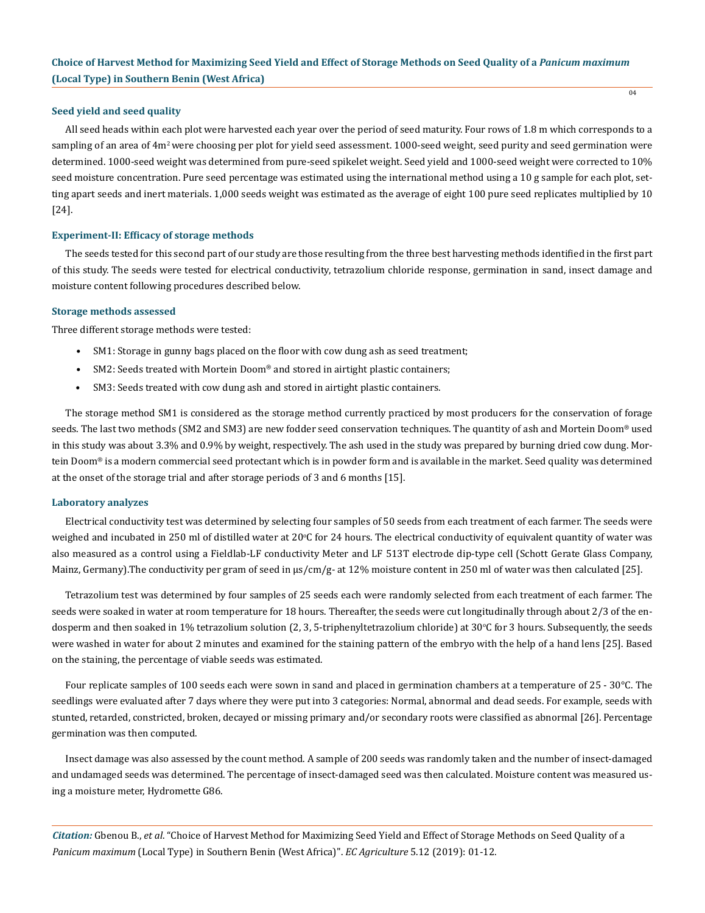### **Seed yield and seed quality**

All seed heads within each plot were harvested each year over the period of seed maturity. Four rows of 1.8 m which corresponds to a sampling of an area of 4m<sup>2</sup> were choosing per plot for yield seed assessment. 1000-seed weight, seed purity and seed germination were determined. 1000-seed weight was determined from pure-seed spikelet weight. Seed yield and 1000-seed weight were corrected to 10% seed moisture concentration. Pure seed percentage was estimated using the international method using a 10 g sample for each plot, setting apart seeds and inert materials. 1,000 seeds weight was estimated as the average of eight 100 pure seed replicates multiplied by 10 [24].

04

### **Experiment-II: Efficacy of storage methods**

The seeds tested for this second part of our study are those resulting from the three best harvesting methods identified in the first part of this study. The seeds were tested for electrical conductivity, tetrazolium chloride response, germination in sand, insect damage and moisture content following procedures described below.

#### **Storage methods assessed**

Three different storage methods were tested:

- SM1: Storage in gunny bags placed on the floor with cow dung ash as seed treatment;
- SM2: Seeds treated with Mortein Doom® and stored in airtight plastic containers;
- SM3: Seeds treated with cow dung ash and stored in airtight plastic containers.

The storage method SM1 is considered as the storage method currently practiced by most producers for the conservation of forage seeds. The last two methods (SM2 and SM3) are new fodder seed conservation techniques. The quantity of ash and Mortein Doom® used in this study was about 3.3% and 0.9% by weight, respectively. The ash used in the study was prepared by burning dried cow dung. Mortein Doom® is a modern commercial seed protectant which is in powder form and is available in the market. Seed quality was determined at the onset of the storage trial and after storage periods of 3 and 6 months [15].

#### **Laboratory analyzes**

Electrical conductivity test was determined by selecting four samples of 50 seeds from each treatment of each farmer. The seeds were weighed and incubated in 250 ml of distilled water at 20°C for 24 hours. The electrical conductivity of equivalent quantity of water was also measured as a control using a Fieldlab-LF conductivity Meter and LF 513T electrode dip-type cell (Schott Gerate Glass Company, Mainz, Germany).The conductivity per gram of seed in μs/cm/g- at 12% moisture content in 250 ml of water was then calculated [25].

Tetrazolium test was determined by four samples of 25 seeds each were randomly selected from each treatment of each farmer. The seeds were soaked in water at room temperature for 18 hours. Thereafter, the seeds were cut longitudinally through about 2/3 of the endosperm and then soaked in 1% tetrazolium solution (2, 3, 5-triphenyltetrazolium chloride) at 30°C for 3 hours. Subsequently, the seeds were washed in water for about 2 minutes and examined for the staining pattern of the embryo with the help of a hand lens [25]. Based on the staining, the percentage of viable seeds was estimated.

Four replicate samples of 100 seeds each were sown in sand and placed in germination chambers at a temperature of 25 - 30°C. The seedlings were evaluated after 7 days where they were put into 3 categories: Normal, abnormal and dead seeds. For example, seeds with stunted, retarded, constricted, broken, decayed or missing primary and/or secondary roots were classified as abnormal [26]. Percentage germination was then computed.

Insect damage was also assessed by the count method. A sample of 200 seeds was randomly taken and the number of insect-damaged and undamaged seeds was determined. The percentage of insect-damaged seed was then calculated. Moisture content was measured using a moisture meter, Hydromette G86.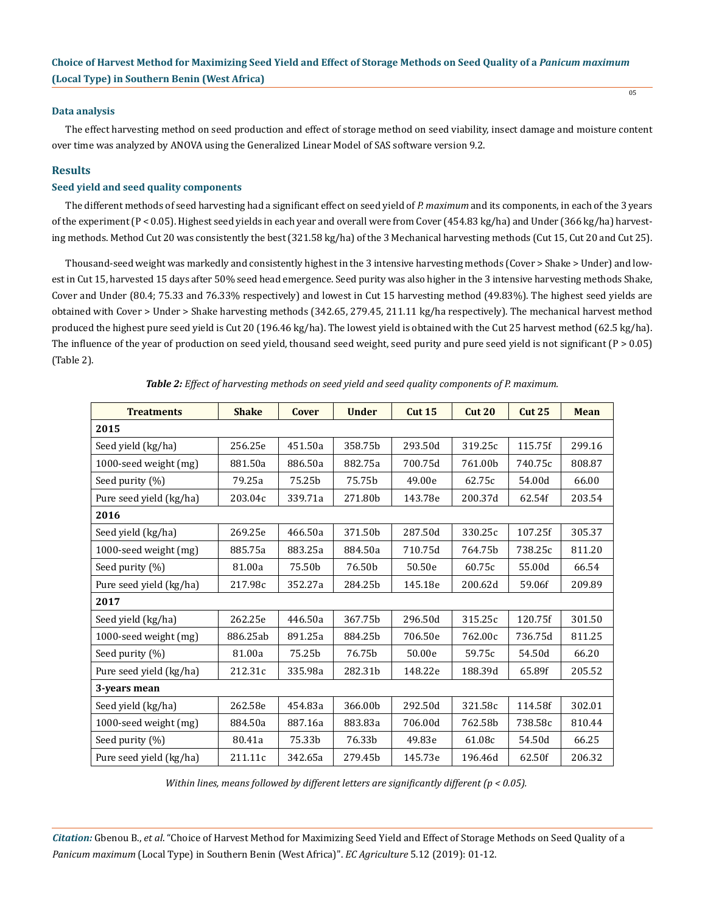### **Data analysis**

The effect harvesting method on seed production and effect of storage method on seed viability, insect damage and moisture content over time was analyzed by ANOVA using the Generalized Linear Model of SAS software version 9.2.

# **Results**

# **Seed yield and seed quality components**

The different methods of seed harvesting had a significant effect on seed yield of *P. maximum* and its components, in each of the 3 years of the experiment (P < 0.05). Highest seed yields in each year and overall were from Cover (454.83 kg/ha) and Under (366 kg/ha) harvesting methods. Method Cut 20 was consistently the best (321.58 kg/ha) of the 3 Mechanical harvesting methods (Cut 15, Cut 20 and Cut 25).

Thousand-seed weight was markedly and consistently highest in the 3 intensive harvesting methods (Cover > Shake > Under) and lowest in Cut 15, harvested 15 days after 50% seed head emergence. Seed purity was also higher in the 3 intensive harvesting methods Shake, Cover and Under (80.4; 75.33 and 76.33% respectively) and lowest in Cut 15 harvesting method (49.83%). The highest seed yields are obtained with Cover > Under > Shake harvesting methods (342.65, 279.45, 211.11 kg/ha respectively). The mechanical harvest method produced the highest pure seed yield is Cut 20 (196.46 kg/ha). The lowest yield is obtained with the Cut 25 harvest method (62.5 kg/ha). The influence of the year of production on seed yield, thousand seed weight, seed purity and pure seed yield is not significant  $(P > 0.05)$ (Table 2).

| <b>Treatments</b>       | <b>Shake</b> | Cover   | <b>Under</b> | <b>Cut 15</b> | Cut <sub>20</sub> | <b>Cut 25</b> | <b>Mean</b> |
|-------------------------|--------------|---------|--------------|---------------|-------------------|---------------|-------------|
| 2015                    |              |         |              |               |                   |               |             |
| Seed yield (kg/ha)      | 256.25e      | 451.50a | 358.75b      | 293.50d       | 319.25c           | 115.75f       | 299.16      |
| 1000-seed weight (mg)   | 881.50a      | 886.50a | 882.75a      | 700.75d       | 761.00b           | 740.75c       | 808.87      |
| Seed purity (%)         | 79.25a       | 75.25b  | 75.75b       | 49.00e        | 62.75c            | 54.00d        | 66.00       |
| Pure seed yield (kg/ha) | 203.04c      | 339.71a | 271.80b      | 143.78e       | 200.37d           | 62.54f        | 203.54      |
| 2016                    |              |         |              |               |                   |               |             |
| Seed yield (kg/ha)      | 269.25e      | 466.50a | 371.50b      | 287.50d       | 330.25c           | 107.25f       | 305.37      |
| 1000-seed weight (mg)   | 885.75a      | 883.25a | 884.50a      | 710.75d       | 764.75b           | 738.25c       | 811.20      |
| Seed purity (%)         | 81.00a       | 75.50b  | 76.50b       | 50.50e        | 60.75c            | 55.00d        | 66.54       |
| Pure seed yield (kg/ha) | 217.98c      | 352.27a | 284.25b      | 145.18e       | 200.62d           | 59.06f        | 209.89      |
| 2017                    |              |         |              |               |                   |               |             |
| Seed yield (kg/ha)      | 262.25e      | 446.50a | 367.75b      | 296.50d       | 315.25c           | 120.75f       | 301.50      |
| 1000-seed weight (mg)   | 886.25ab     | 891.25a | 884.25b      | 706.50e       | 762.00c           | 736.75d       | 811.25      |
| Seed purity (%)         | 81.00a       | 75.25b  | 76.75b       | 50.00e        | 59.75c            | 54.50d        | 66.20       |
| Pure seed yield (kg/ha) | 212.31c      | 335.98a | 282.31b      | 148.22e       | 188.39d           | 65.89f        | 205.52      |
| 3-years mean            |              |         |              |               |                   |               |             |
| Seed yield (kg/ha)      | 262.58e      | 454.83a | 366.00b      | 292.50d       | 321.58c           | 114.58f       | 302.01      |
| 1000-seed weight (mg)   | 884.50a      | 887.16a | 883.83a      | 706.00d       | 762.58b           | 738.58c       | 810.44      |
| Seed purity (%)         | 80.41a       | 75.33b  | 76.33b       | 49.83e        | 61.08c            | 54.50d        | 66.25       |
| Pure seed yield (kg/ha) | 211.11c      | 342.65a | 279.45b      | 145.73e       | 196.46d           | 62.50f        | 206.32      |

*Table 2: Effect of harvesting methods on seed yield and seed quality components of P. maximum.*

*Within lines, means followed by different letters are significantly different (p < 0.05).*

*Citation:* Gbenou B., *et al*. "Choice of Harvest Method for Maximizing Seed Yield and Effect of Storage Methods on Seed Quality of a *Panicum maximum* (Local Type) in Southern Benin (West Africa)". *EC Agriculture* 5.12 (2019): 01-12.

05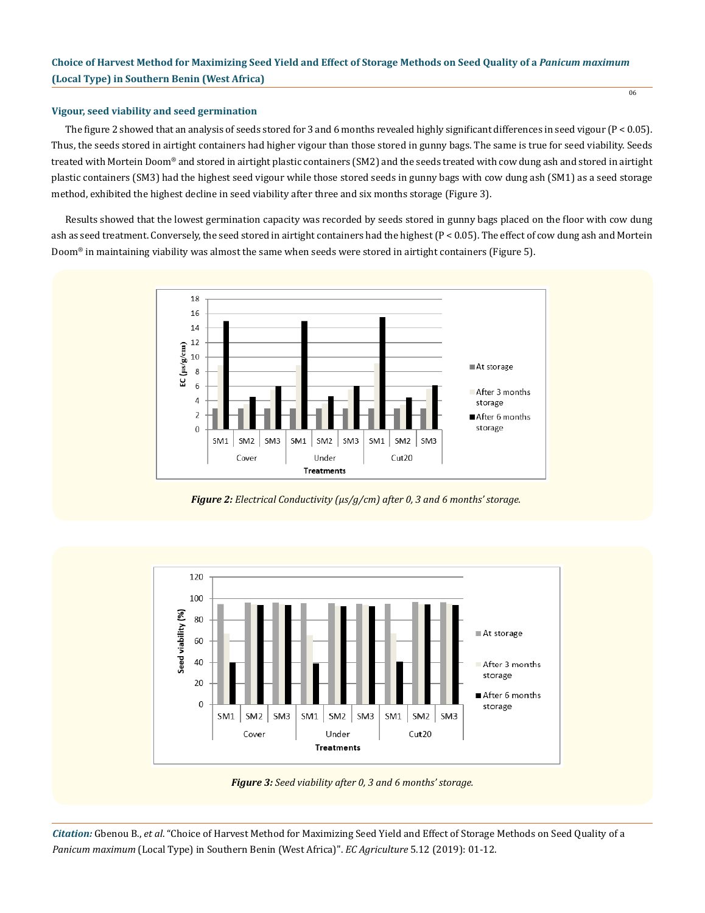# **Vigour, seed viability and seed germination**

The figure 2 showed that an analysis of seeds stored for 3 and 6 months revealed highly significant differences in seed vigour (P < 0.05). Thus, the seeds stored in airtight containers had higher vigour than those stored in gunny bags. The same is true for seed viability. Seeds treated with Mortein Doom® and stored in airtight plastic containers (SM2) and the seeds treated with cow dung ash and stored in airtight plastic containers (SM3) had the highest seed vigour while those stored seeds in gunny bags with cow dung ash (SM1) as a seed storage method, exhibited the highest decline in seed viability after three and six months storage (Figure 3).

06

Results showed that the lowest germination capacity was recorded by seeds stored in gunny bags placed on the floor with cow dung ash as seed treatment. Conversely, the seed stored in airtight containers had the highest (P < 0.05). The effect of cow dung ash and Mortein Doom® in maintaining viability was almost the same when seeds were stored in airtight containers (Figure 5).



*Figure 2: Electrical Conductivity (μs/g/cm) after 0, 3 and 6 months' storage.*



*Figure 3: Seed viability after 0, 3 and 6 months' storage.*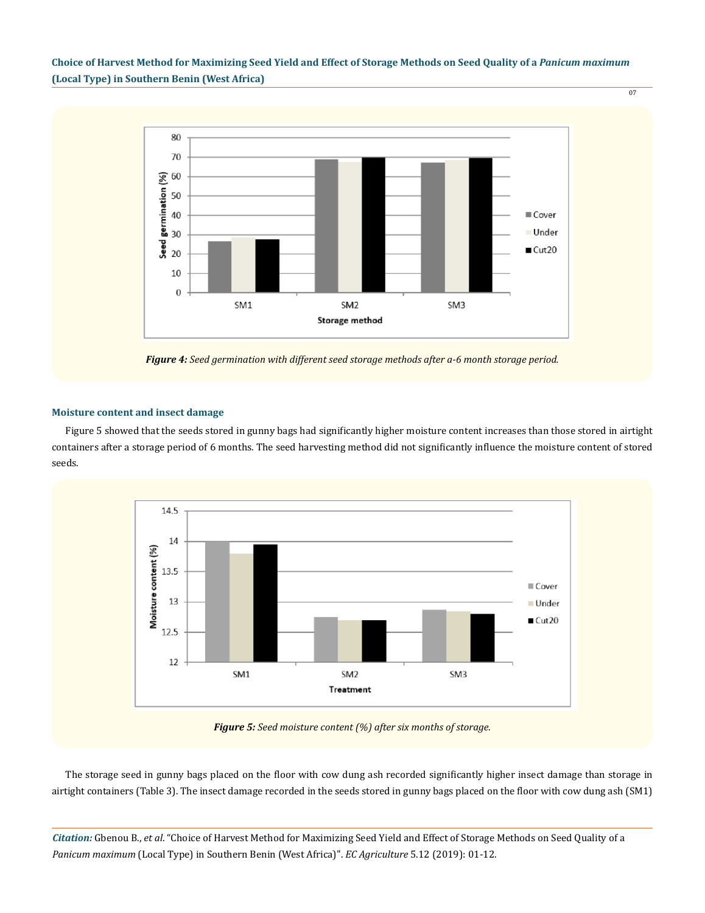

*Figure 4: Seed germination with different seed storage methods after a-6 month storage period.*

### **Moisture content and insect damage**

Figure 5 showed that the seeds stored in gunny bags had significantly higher moisture content increases than those stored in airtight containers after a storage period of 6 months. The seed harvesting method did not significantly influence the moisture content of stored seeds.



*Figure 5: Seed moisture content (%) after six months of storage.*

The storage seed in gunny bags placed on the floor with cow dung ash recorded significantly higher insect damage than storage in airtight containers (Table 3). The insect damage recorded in the seeds stored in gunny bags placed on the floor with cow dung ash (SM1)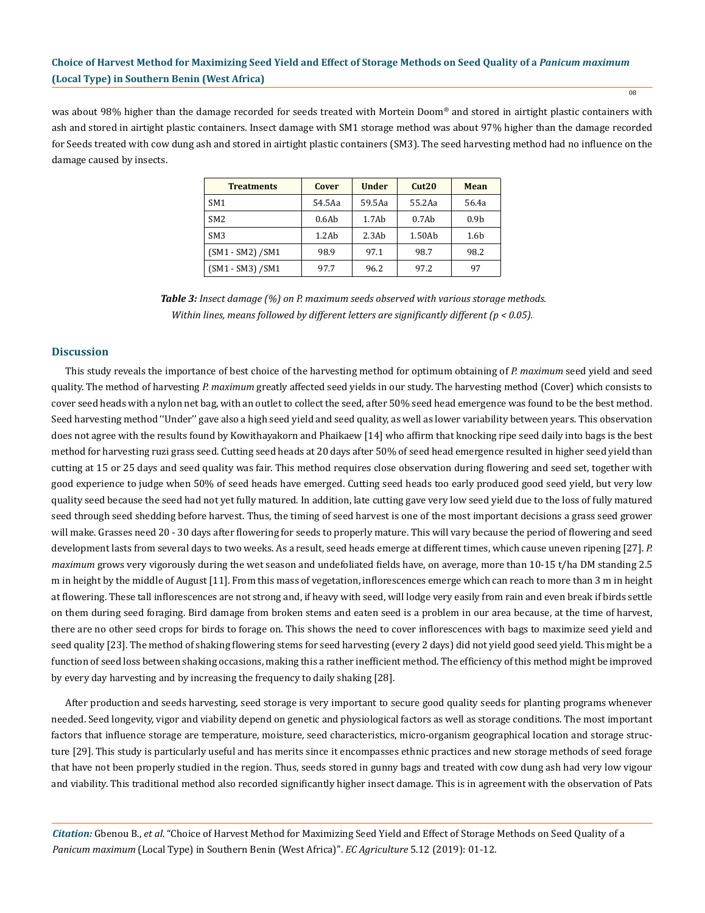was about 98% higher than the damage recorded for seeds treated with Mortein Doom® and stored in airtight plastic containers with ash and stored in airtight plastic containers. Insect damage with SM1 storage method was about 97% higher than the damage recorded for Seeds treated with cow dung ash and stored in airtight plastic containers (SM3). The seed harvesting method had no influence on the damage caused by insects.

| <b>Treatments</b>   | Cover  | <b>Under</b> | Cut20  | Mean             |
|---------------------|--------|--------------|--------|------------------|
| SM <sub>1</sub>     | 54.5Aa | 59.5Aa       | 55.2Aa | 56.4a            |
| SM <sub>2</sub>     | 0.6Ab  | 1.7Ab        | 0.7Ab  | 0.9 <sub>b</sub> |
| SM <sub>3</sub>     | 1.2Ab  | 2.3Ab        | 1.50Ab | 1.6 <sub>b</sub> |
| $(SM1 - SM2) / SM1$ | 98.9   | 97.1         | 98.7   | 98.2             |
| $(SM1 - SM3) / SM1$ | 97.7   | 96.2         | 97.2   | 97               |

*Table 3: Insect damage (%) on P. maximum seeds observed with various storage methods. Within lines, means followed by different letters are significantly different (p < 0.05).*

### **Discussion**

This study reveals the importance of best choice of the harvesting method for optimum obtaining of *P. maximum* seed yield and seed quality. The method of harvesting *P. maximum* greatly affected seed yields in our study. The harvesting method (Cover) which consists to cover seed heads with a nylon net bag, with an outlet to collect the seed, after 50% seed head emergence was found to be the best method. Seed harvesting method ''Under'' gave also a high seed yield and seed quality, as well as lower variability between years. This observation does not agree with the results found by Kowithayakorn and Phaikaew [14] who affirm that knocking ripe seed daily into bags is the best method for harvesting ruzi grass seed. Cutting seed heads at 20 days after 50% of seed head emergence resulted in higher seed yield than cutting at 15 or 25 days and seed quality was fair. This method requires close observation during flowering and seed set, together with good experience to judge when 50% of seed heads have emerged. Cutting seed heads too early produced good seed yield, but very low quality seed because the seed had not yet fully matured. In addition, late cutting gave very low seed yield due to the loss of fully matured seed through seed shedding before harvest. Thus, the timing of seed harvest is one of the most important decisions a grass seed grower will make. Grasses need 20 - 30 days after flowering for seeds to properly mature. This will vary because the period of flowering and seed development lasts from several days to two weeks. As a result, seed heads emerge at different times, which cause uneven ripening [27]. *P. maximum* grows very vigorously during the wet season and undefoliated fields have, on average, more than 10-15 t/ha DM standing 2.5 m in height by the middle of August [11]. From this mass of vegetation, inflorescences emerge which can reach to more than 3 m in height at flowering. These tall inflorescences are not strong and, if heavy with seed, will lodge very easily from rain and even break if birds settle on them during seed foraging. Bird damage from broken stems and eaten seed is a problem in our area because, at the time of harvest, there are no other seed crops for birds to forage on. This shows the need to cover inflorescences with bags to maximize seed yield and seed quality [23]. The method of shaking flowering stems for seed harvesting (every 2 days) did not yield good seed yield. This might be a function of seed loss between shaking occasions, making this a rather inefficient method. The efficiency of this method might be improved by every day harvesting and by increasing the frequency to daily shaking [28].

After production and seeds harvesting, seed storage is very important to secure good quality seeds for planting programs whenever needed. Seed longevity, vigor and viability depend on genetic and physiological factors as well as storage conditions. The most important factors that influence storage are temperature, moisture, seed characteristics, micro-organism geographical location and storage structure [29]. This study is particularly useful and has merits since it encompasses ethnic practices and new storage methods of seed forage that have not been properly studied in the region. Thus, seeds stored in gunny bags and treated with cow dung ash had very low vigour and viability. This traditional method also recorded significantly higher insect damage. This is in agreement with the observation of Pats

*Citation:* Gbenou B., *et al*. "Choice of Harvest Method for Maximizing Seed Yield and Effect of Storage Methods on Seed Quality of a *Panicum maximum* (Local Type) in Southern Benin (West Africa)". *EC Agriculture* 5.12 (2019): 01-12.

08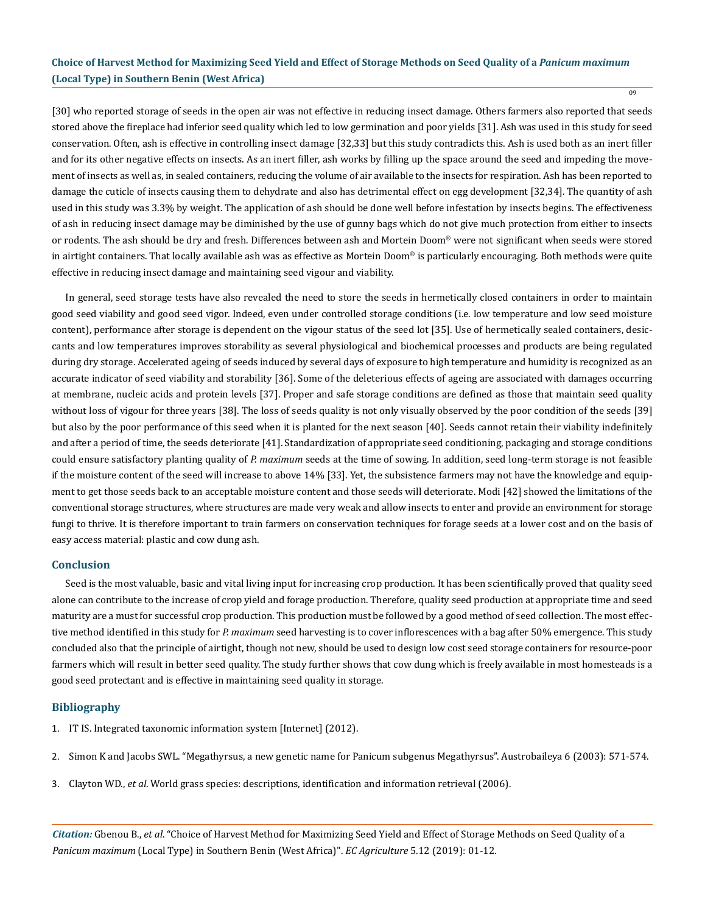09

[30] who reported storage of seeds in the open air was not effective in reducing insect damage. Others farmers also reported that seeds stored above the fireplace had inferior seed quality which led to low germination and poor yields [31]. Ash was used in this study for seed conservation. Often, ash is effective in controlling insect damage [32,33] but this study contradicts this. Ash is used both as an inert filler and for its other negative effects on insects. As an inert filler, ash works by filling up the space around the seed and impeding the movement of insects as well as, in sealed containers, reducing the volume of air available to the insects for respiration. Ash has been reported to damage the cuticle of insects causing them to dehydrate and also has detrimental effect on egg development [32,34]. The quantity of ash used in this study was 3.3% by weight. The application of ash should be done well before infestation by insects begins. The effectiveness of ash in reducing insect damage may be diminished by the use of gunny bags which do not give much protection from either to insects or rodents. The ash should be dry and fresh. Differences between ash and Mortein Doom® were not significant when seeds were stored in airtight containers. That locally available ash was as effective as Mortein Doom® is particularly encouraging. Both methods were quite effective in reducing insect damage and maintaining seed vigour and viability.

In general, seed storage tests have also revealed the need to store the seeds in hermetically closed containers in order to maintain good seed viability and good seed vigor. Indeed, even under controlled storage conditions (i.e. low temperature and low seed moisture content), performance after storage is dependent on the vigour status of the seed lot [35]. Use of hermetically sealed containers, desiccants and low temperatures improves storability as several physiological and biochemical processes and products are being regulated during dry storage. Accelerated ageing of seeds induced by several days of exposure to high temperature and humidity is recognized as an accurate indicator of seed viability and storability [36]. Some of the deleterious effects of ageing are associated with damages occurring at membrane, nucleic acids and protein levels [37]. Proper and safe storage conditions are defined as those that maintain seed quality without loss of vigour for three years [38]. The loss of seeds quality is not only visually observed by the poor condition of the seeds [39] but also by the poor performance of this seed when it is planted for the next season [40]. Seeds cannot retain their viability indefinitely and after a period of time, the seeds deteriorate [41]. Standardization of appropriate seed conditioning, packaging and storage conditions could ensure satisfactory planting quality of *P. maximum* seeds at the time of sowing. In addition, seed long-term storage is not feasible if the moisture content of the seed will increase to above 14% [33]. Yet, the subsistence farmers may not have the knowledge and equipment to get those seeds back to an acceptable moisture content and those seeds will deteriorate. Modi [42] showed the limitations of the conventional storage structures, where structures are made very weak and allow insects to enter and provide an environment for storage fungi to thrive. It is therefore important to train farmers on conservation techniques for forage seeds at a lower cost and on the basis of easy access material: plastic and cow dung ash.

### **Conclusion**

Seed is the most valuable, basic and vital living input for increasing crop production. It has been scientifically proved that quality seed alone can contribute to the increase of crop yield and forage production. Therefore, quality seed production at appropriate time and seed maturity are a must for successful crop production. This production must be followed by a good method of seed collection. The most effective method identified in this study for *P. maximum* seed harvesting is to cover inflorescences with a bag after 50% emergence. This study concluded also that the principle of airtight, though not new, should be used to design low cost seed storage containers for resource-poor farmers which will result in better seed quality. The study further shows that cow dung which is freely available in most homesteads is a good seed protectant and is effective in maintaining seed quality in storage.

# **Bibliography**

- 1. [IT IS. Integrated taxonomic information system \[Internet\] \(2012\).](http://plants.usda.gov/java/profile?symbol=URMA3)
- 2. Simon K and Jacobs SWL. "Megathyrsus, a new genetic name for Panicum subgenus Megathyrsus". Austrobaileya 6 (2003): 571-574.
- 3. Clayton WD., *et al*[. World grass species: descriptions, identification and information retrieval \(2006\).](http://www.kew.org/data/grassbase/)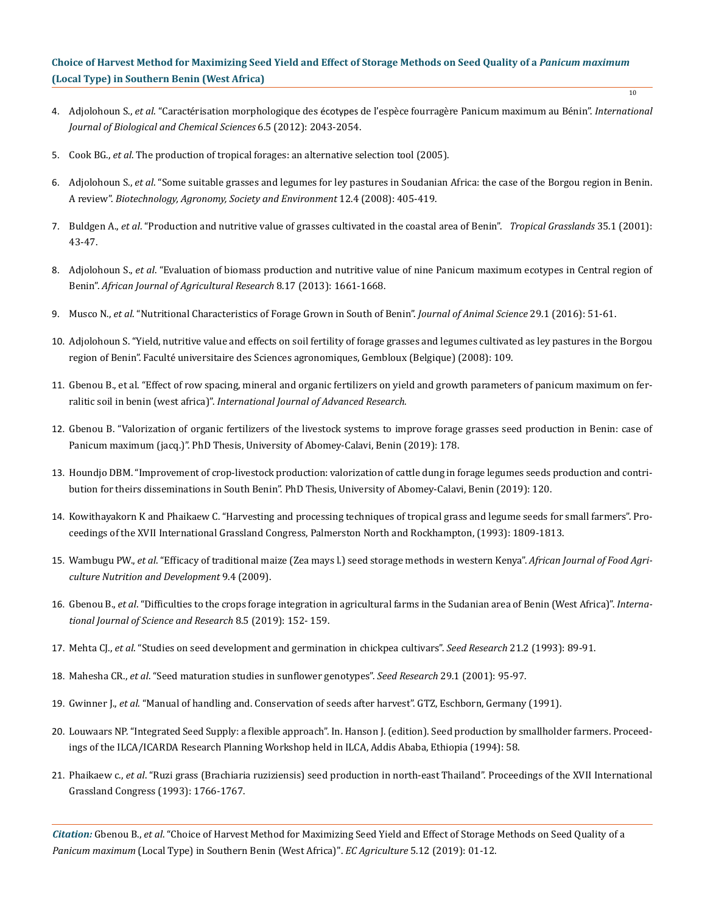4. Adjolohoun S., *et al*. "Caractérisation morphologique des écotypes [de l'espèce fourragère Panicum maximum au Bénin".](https://www.researchgate.net/publication/272326821_Diversite_et_caracterisation_morphologique_des_ecotypes_de_l) *International [Journal of Biological and Chemical Sciences](https://www.researchgate.net/publication/272326821_Diversite_et_caracterisation_morphologique_des_ecotypes_de_l)* 6.5 (2012): 2043-2054.

10

- 5. Cook BG., *et al*[. The production of tropical forages: an alternative selection tool \(2005\).](http://www.tropicalforages.info)
- 6. Adjolohoun S., *et al*[. "Some suitable grasses and legumes for ley pastures in Soudanian Africa: the case of the Borgou region in Benin.](https://www.researchgate.net/publication/26568531_Some_suitable_grasses_and_legumes_for_ley_pastures_in_Sudanian_Africa_The_case_of_the_Borgou_region_in_Benin) A review". *[Biotechnology, Agronomy, Society and Environment](https://www.researchgate.net/publication/26568531_Some_suitable_grasses_and_legumes_for_ley_pastures_in_Sudanian_Africa_The_case_of_the_Borgou_region_in_Benin)* 12.4 (2008): 405-419.
- 7. Buldgen A., *et al*[. "Production and nutritive value of grasses cultivated in the coastal area of Benin".](https://www.researchgate.net/publication/242147378_Research_note_Production_and_nutritive_value_of_grasses_cultivated_in_the_coastal_area_of_Benin) *Tropical Grasslands* 35.1 (2001): [43-47.](https://www.researchgate.net/publication/242147378_Research_note_Production_and_nutritive_value_of_grasses_cultivated_in_the_coastal_area_of_Benin)
- 8. Adjolohoun S., *et al*[. "Evaluation of biomass production and nutritive value of nine Panicum maximum ecotypes in Central region of](https://www.researchgate.net/publication/259527603_Evaluation_of_biomass_production_and_nutritive_value_of_nine_Panicum_maximum_ecotypes_in_Central_region_of_Benin)  Benin". *[African Journal of Agricultural Research](https://www.researchgate.net/publication/259527603_Evaluation_of_biomass_production_and_nutritive_value_of_nine_Panicum_maximum_ecotypes_in_Central_region_of_Benin)* 8.17 (2013): 1661-1668.
- 9. Musco N., *et al*[. "Nutritional Characteristics of Forage Grown in South of Benin".](https://www.ncbi.nlm.nih.gov/pubmed/26732328) *Journal of Animal Science* 29.1 (2016): 51-61.
- 10. [Adjolohoun S. "Yield, nutritive value and effects on soil fertility of forage grasses and legumes cultivated as ley pastures in the Borgou](http://bictel-fusagx.ulg.ac.be/ETD-db/collection/available/FUSAGxetd-05212008-102531/unrestricted/TheseAdjolohoun.pdf)  [region of Benin". Faculté universitaire des Sciences agronomiques, Gembloux \(Belgique\) \(2008\): 109.](http://bictel-fusagx.ulg.ac.be/ETD-db/collection/available/FUSAGxetd-05212008-102531/unrestricted/TheseAdjolohoun.pdf)
- 11. Gbenou B., et al. "Effect of row spacing, mineral and organic fertilizers on yield and growth parameters of panicum maximum on ferralitic soil in benin (west africa)". *International Journal of Advanced Research*.
- 12. Gbenou B. "Valorization of organic fertilizers of the livestock systems to improve forage grasses seed production in Benin: case of Panicum maximum (jacq.)". PhD Thesis, University of Abomey-Calavi, Benin (2019): 178.
- 13. Houndjo DBM. "Improvement of crop-livestock production: valorization of cattle dung in forage legumes seeds production and contribution for theirs disseminations in South Benin". PhD Thesis, University of Abomey-Calavi, Benin (2019): 120.
- 14. Kowithayakorn K and Phaikaew C. "Harvesting and processing techniques of tropical grass and legume seeds for small farmers". Proceedings of the XVII International Grassland Congress, Palmerston North and Rockhampton, (1993): 1809-1813.
- 15. Wambugu PW., *et al*[. "Efficacy of traditional maize \(Zea mays l.\) seed storage methods in western Kenya".](https://www.ajol.info/index.php/ajfand/article/view/43882) *African Journal of Food Agri[culture Nutrition and Development](https://www.ajol.info/index.php/ajfand/article/view/43882)* 9.4 (2009).
- 16. Gbenou B., *et al*. "Difficulties to the crops forage integration in agricultural farms in the Sudanian area of Benin (West Africa)". *International Journal of Science and Research* 8.5 (2019): 152- 159.
- 17. Mehta CJ., *et al*. "Studies on seed development and germination in chickpea cultivars". *Seed Research* 21.2 (1993): 89-91.
- 18. Mahesha CR., *et al*. "Seed maturation studies in sunflower genotypes". *Seed Research* 29.1 (2001): 95-97.
- 19. Gwinner J., *et al*. "Manual of handling and. Conservation of seeds after harvest". GTZ, Eschborn, Germany (1991).
- 20. Louwaars NP. "Integrated Seed Supply: a flexible approach". In. Hanson J. (edition). Seed production by smallholder farmers. Proceedings of the ILCA/ICARDA Research Planning Workshop held in ILCA, Addis Ababa, Ethiopia (1994): 58.
- 21. Phaikaew c., *et al*. "Ruzi grass (Brachiaria ruziziensis) seed production in north-east Thailand". Proceedings of the XVII International Grassland Congress (1993): 1766-1767.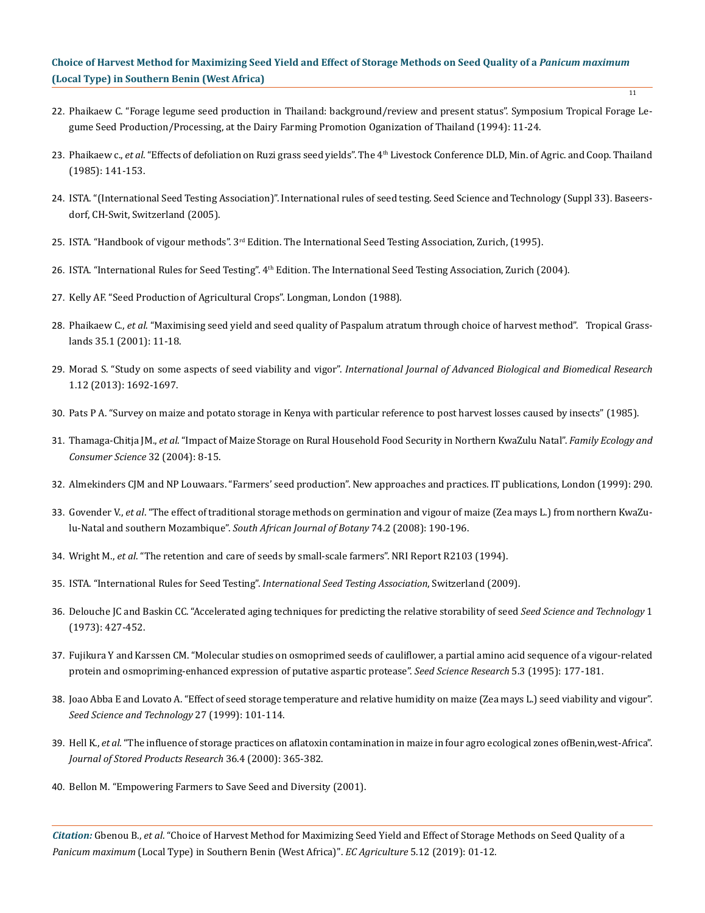22. Phaikaew C. "Forage legume seed production in Thailand: background/review and present status". Symposium Tropical Forage Legume Seed Production/Processing, at the Dairy Farming Promotion Oganization of Thailand (1994): 11-24.

11

- 23. Phaikaew c., *et al*. "Effects of defoliation on Ruzi grass seed yields". The 4th Livestock Conference DLD, Min. of Agric. and Coop. Thailand (1985): 141-153.
- 24. ISTA. "(International Seed Testing Association)". International rules of seed testing. Seed Science and Technology (Suppl 33). Baseersdorf, CH-Swit, Switzerland (2005).
- 25. ISTA. "Handbook of vigour methods".  $3<sup>rd</sup>$  Edition. The International Seed Testing Association, Zurich, (1995).
- 26. ISTA. "International Rules for Seed Testing". 4<sup>th</sup> Edition. The International Seed Testing Association, Zurich (2004).
- 27. Kelly AF. "Seed Production of Agricultural Crops". Longman, London (1988).
- 28. Phaikaew C., *et al*[. "Maximising seed yield and seed quality of Paspalum atratum through choice of harvest method". Tropical Grass](https://www.researchgate.net/publication/237452855_Maximising_seed_yield_and_seed_quality_of_Paspalum_atratum_through_choice_of_harvest_method)[lands 35.1 \(2001\): 11-18.](https://www.researchgate.net/publication/237452855_Maximising_seed_yield_and_seed_quality_of_Paspalum_atratum_through_choice_of_harvest_method)
- 29. Morad S. "Study on some aspects of seed viability and vigor". *[International Journal of Advanced Biological and Biomedical Research](http://www.ijabbr.com/article_7964.html)*  [1.12 \(2013\): 1692-1697.](http://www.ijabbr.com/article_7964.html)
- 30. [Pats P A. "Survey on maize and potato storage in Kenya with particular reference to post harvest losses caused by insects" \(1985\).](http://www.sII..bibul.slu.se)
- 31. Thamaga-Chitja JM., *et al*[. "Impact of Maize Storage on Rural Household Food Security in Northern KwaZulu Natal".](C://Users/ACT/AppData/Local/Temp/52843-82319-1-PB.pdf) *Family Ecology and [Consumer Science](C://Users/ACT/AppData/Local/Temp/52843-82319-1-PB.pdf)* 32 (2004): 8-15.
- 32. [Almekinders CJM and NP Louwaars. "Farmers' seed production". New approaches and practices. IT publications, London \(1999\): 290.](https://www.developmentbookshelf.com/doi/book/10.3362/9781780442150)
- 33. Govender V., *et al*[. "The effect of traditional storage methods on germination and vigour of maize \(Zea mays L.\) from northern KwaZu](https://www.sciencedirect.com/science/article/pii/S0254629907003900)[lu-Natal and southern Mozambique".](https://www.sciencedirect.com/science/article/pii/S0254629907003900) *South African Journal of Botany* 74.2 (2008): 190-196.
- 34. Wright M., *et al*. "The retention and care of seeds by small-scale farmers". NRI Report R2103 (1994).
- 35. ISTA. "International Rules for Seed Testing". *International Seed Testing Association*, Switzerland (2009).
- 36. [Delouche JC and Baskin CC. "Accelerated aging techniques for predicting the relative storability of seed](https://ir.library.msstate.edu/bitstream/handle/11668/13316/F-4.pdf?sequence=1&isAllowed=y) *Seed Science and Technology* 1 [\(1973\): 427-452.](https://ir.library.msstate.edu/bitstream/handle/11668/13316/F-4.pdf?sequence=1&isAllowed=y)
- 37. [Fujikura Y and Karssen CM. "Molecular studies on osmoprimed seeds of cauliflower, a partial amino acid sequence of a vigour-related](https://www.cambridge.org/core/journals/seed-science-research/article/molecular-studies-on-osmoprimed-seeds-of-cauliflower-a-partial-amino-acid-sequence-of-a-vigourrelated-protein-and-osmoprimingenhanced-expression-of-putative-aspartic-protease/44FB09051F3C63255D252D2FADFB20C5) [protein and osmopriming-enhanced expression of putative aspartic protease".](https://www.cambridge.org/core/journals/seed-science-research/article/molecular-studies-on-osmoprimed-seeds-of-cauliflower-a-partial-amino-acid-sequence-of-a-vigourrelated-protein-and-osmoprimingenhanced-expression-of-putative-aspartic-protease/44FB09051F3C63255D252D2FADFB20C5) *Seed Science Research* 5.3 (1995): 177-181.
- 38. Joao Abba E and Lovato A. "Effect of seed storage temperature and relative humidity on maize (Zea mays L.) seed viability and vigour". *Seed Science and Technology* 27 (1999): 101-114.
- 39. Hell K., *et al*[. "The influence of storage practices on aflatoxin contamination in maize in four agro ecological zones ofBenin,west-Africa".](https://www.ncbi.nlm.nih.gov/pubmed/10880814) *[Journal of Stored Products Research](https://www.ncbi.nlm.nih.gov/pubmed/10880814)* 36.4 (2000): 365-382.
- 40. Bellon M. "Empowering Farmers to Save Seed and Diversity (2001).